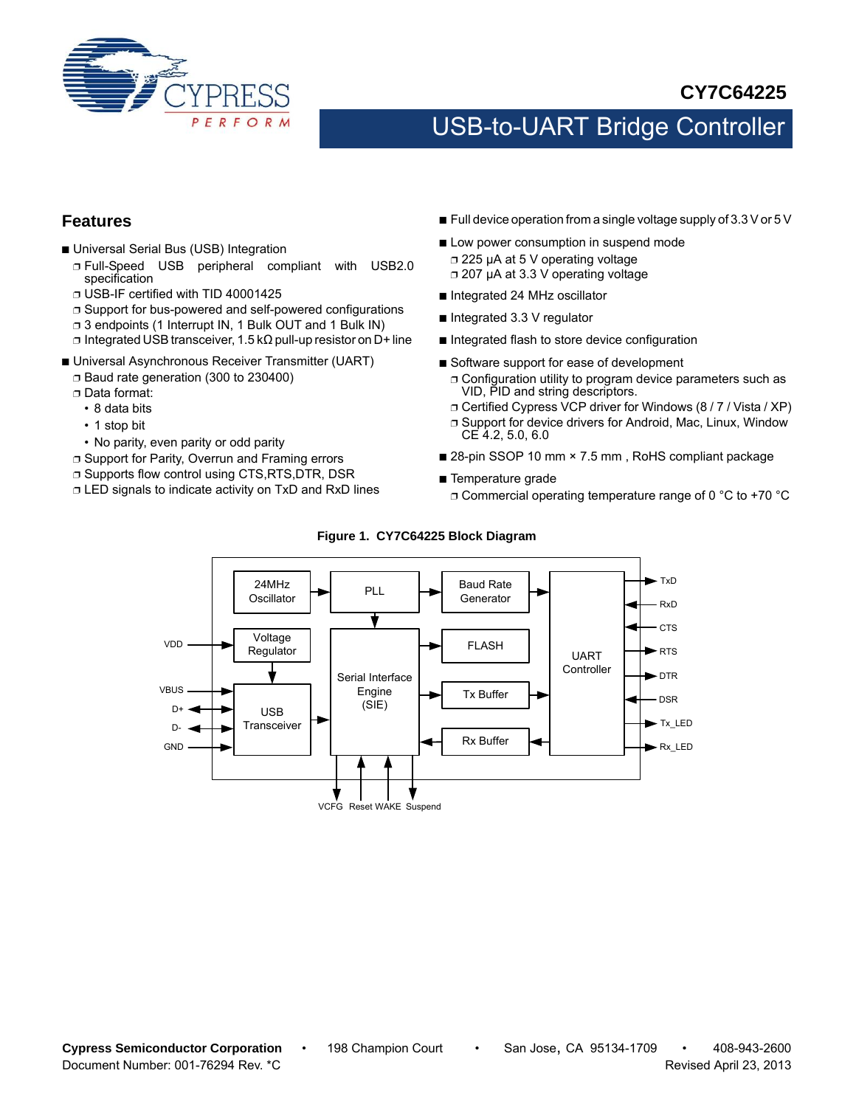

# **CY7C64225**

# USB-to-UART Bridge Controller

## <span id="page-0-0"></span>**Features**

- Universal Serial Bus (USB) Integration
	- ❐ Full-Speed USB peripheral compliant with USB2.0 specification
	- ❐ USB-IF certified with TID 40001425
	- ❐ Support for bus-powered and self-powered configurations
	- ❐ 3 endpoints (1 Interrupt IN, 1 Bulk OUT and 1 Bulk IN)
	- ❐ Integrated USB transceiver, 1.5 kΩ pull-up resistor on D+ line
- Universal Asynchronous Receiver Transmitter (UART)
	- ❐ Baud rate generation (300 to 230400)
	- ❐ Data format:
	- 8 data bits
	- 1 stop bit
	- No parity, even parity or odd parity
	- ❐ Support for Parity, Overrun and Framing errors
	- ❐ Supports flow control using CTS,RTS,DTR, DSR
	- ❐ LED signals to indicate activity on TxD and RxD lines
- Full device operation from a single voltage supply of 3.3 V or 5 V
- Low power consumption in suspend mode ❐ 225 µA at 5 V operating voltage ❐ 207 µA at 3.3 V operating voltage
- Integrated 24 MHz oscillator
- Integrated 3.3 V regulator
- Integrated flash to store device configuration
- Software support for ease of development
	- ❐ Configuration utility to program device parameters such as VID, PID and string descriptors.
	- ❐ Certified Cypress VCP driver for Windows (8 / 7 / Vista / XP)
	- ❐ Support for device drivers for Android, Mac, Linux, Window CE 4.2, 5.0, 6.0
- 28-pin SSOP 10 mm × 7.5 mm, RoHS compliant package
- Temperature grade
	- ❐ Commercial operating temperature range of 0 °C to +70 °C

<span id="page-0-1"></span>

#### **Figure 1. CY7C64225 Block Diagram**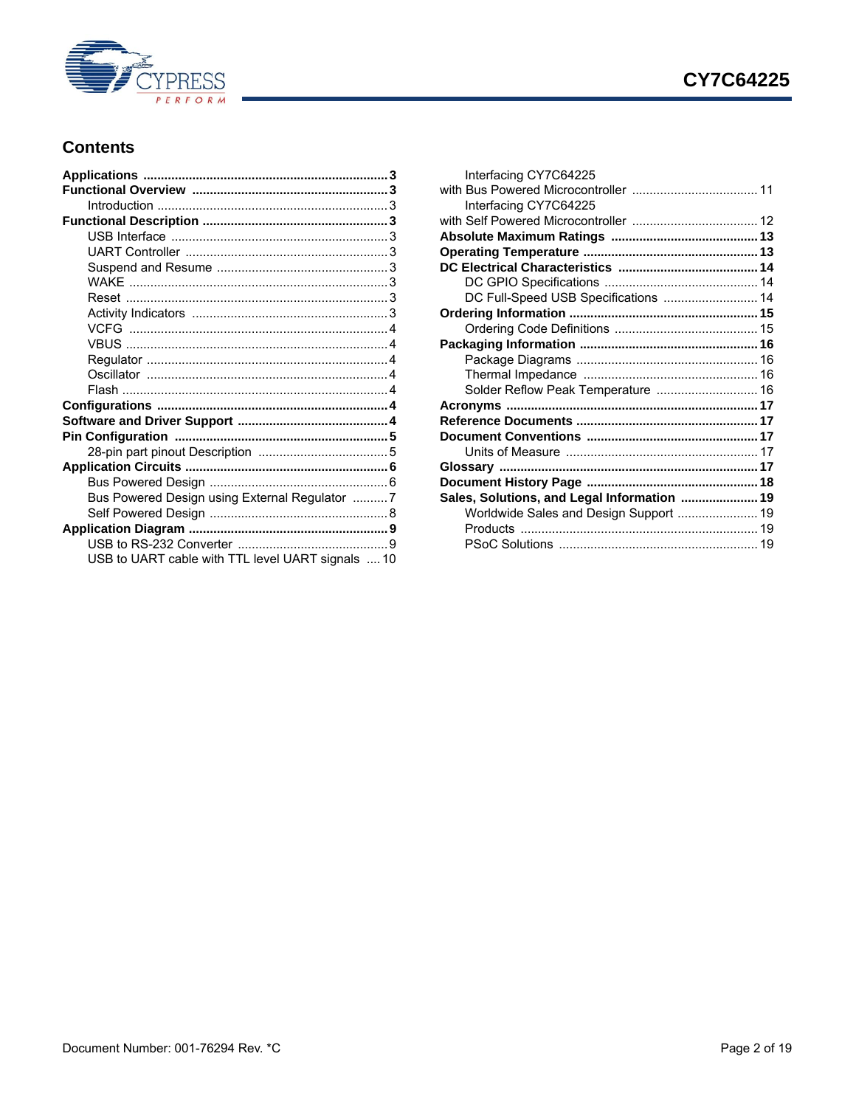

# **CY7C64225**

# **Contents**

| Bus Powered Design using External Regulator 7     |  |
|---------------------------------------------------|--|
|                                                   |  |
|                                                   |  |
|                                                   |  |
| USB to UART cable with TTL level UART signals  10 |  |

| Interfacing CY7C64225                       |  |
|---------------------------------------------|--|
|                                             |  |
| Interfacing CY7C64225                       |  |
|                                             |  |
|                                             |  |
|                                             |  |
|                                             |  |
|                                             |  |
| DC Full-Speed USB Specifications  14        |  |
|                                             |  |
|                                             |  |
|                                             |  |
|                                             |  |
|                                             |  |
| Solder Reflow Peak Temperature  16          |  |
|                                             |  |
|                                             |  |
|                                             |  |
|                                             |  |
|                                             |  |
|                                             |  |
| Sales, Solutions, and Legal Information  19 |  |
| Worldwide Sales and Design Support  19      |  |
|                                             |  |
|                                             |  |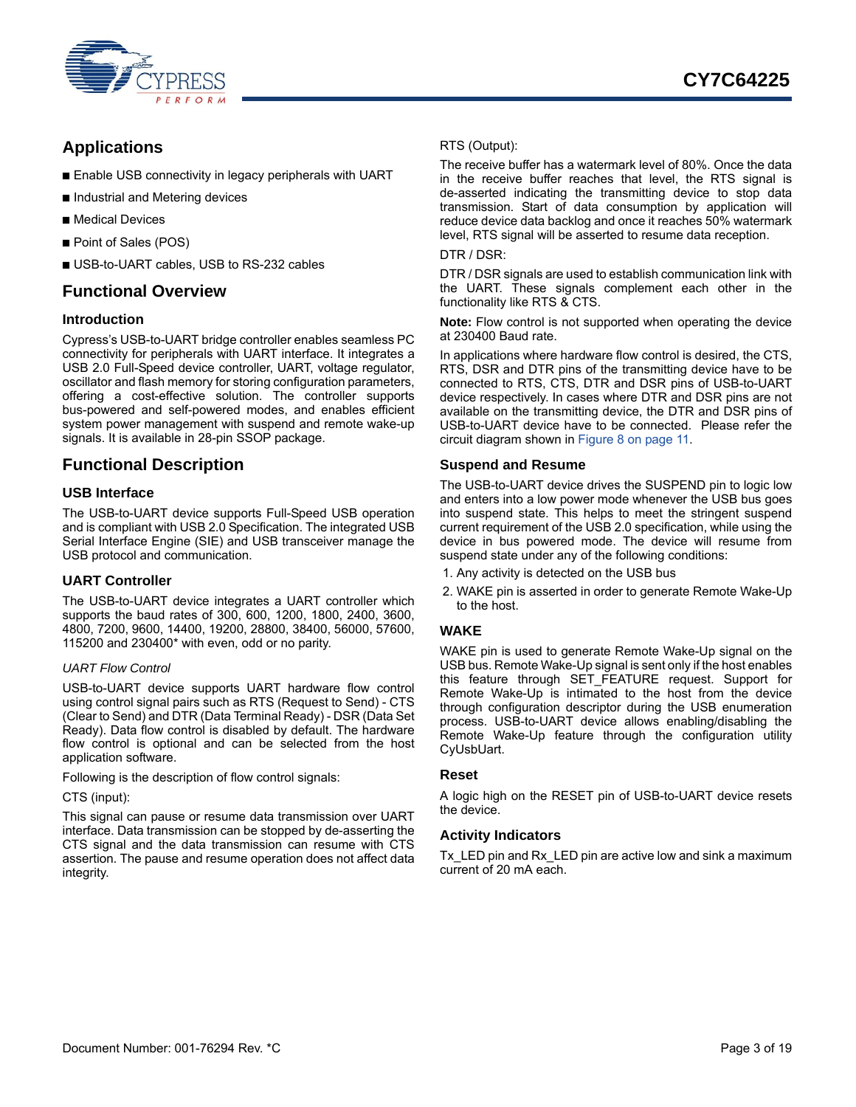

# <span id="page-2-0"></span>**Applications**

- Enable USB connectivity in legacy peripherals with UART
- Industrial and Metering devices
- Medical Devices
- Point of Sales (POS)
- USB-to-UART cables, USB to RS-232 cables

## <span id="page-2-1"></span>**Functional Overview**

#### <span id="page-2-2"></span>**Introduction**

Cypress's USB-to-UART bridge controller enables seamless PC connectivity for peripherals with UART interface. It integrates a USB 2.0 Full-Speed device controller, UART, voltage regulator, oscillator and flash memory for storing configuration parameters, offering a cost-effective solution. The controller supports bus-powered and self-powered modes, and enables efficient system power management with suspend and remote wake-up signals. It is available in 28-pin SSOP package.

## <span id="page-2-3"></span>**Functional Description**

#### <span id="page-2-4"></span>**USB Interface**

The USB-to-UART device supports Full-Speed USB operation and is compliant with USB 2.0 Specification. The integrated USB Serial Interface Engine (SIE) and USB transceiver manage the USB protocol and communication.

#### <span id="page-2-5"></span>**UART Controller**

The USB-to-UART device integrates a UART controller which supports the baud rates of 300, 600, 1200, 1800, 2400, 3600, 4800, 7200, 9600, 14400, 19200, 28800, 38400, 56000, 57600, 115200 and 230400\* with even, odd or no parity.

#### <span id="page-2-10"></span>*UART Flow Control*

USB-to-UART device supports UART hardware flow control using control signal pairs such as RTS (Request to Send) - CTS (Clear to Send) and DTR (Data Terminal Ready) - DSR (Data Set Ready). Data flow control is disabled by default. The hardware flow control is optional and can be selected from the host application software.

Following is the description of flow control signals:

#### CTS (input):

This signal can pause or resume data transmission over UART interface. Data transmission can be stopped by de-asserting the CTS signal and the data transmission can resume with CTS assertion. The pause and resume operation does not affect data integrity.

#### RTS (Output):

The receive buffer has a watermark level of 80%. Once the data in the receive buffer reaches that level, the RTS signal is de-asserted indicating the transmitting device to stop data transmission. Start of data consumption by application will reduce device data backlog and once it reaches 50% watermark level, RTS signal will be asserted to resume data reception.

#### DTR / DSR:

DTR / DSR signals are used to establish communication link with the UART. These signals complement each other in the functionality like RTS & CTS.

**Note:** Flow control is not supported when operating the device at 230400 Baud rate.

In applications where hardware flow control is desired, the CTS, RTS, DSR and DTR pins of the transmitting device have to be connected to RTS, CTS, DTR and DSR pins of USB-to-UART device respectively. In cases where DTR and DSR pins are not available on the transmitting device, the DTR and DSR pins of USB-to-UART device have to be connected. Please refer the circuit diagram shown in [Figure 8 on page 11](#page-10-1).

#### <span id="page-2-6"></span>**Suspend and Resume**

The USB-to-UART device drives the SUSPEND pin to logic low and enters into a low power mode whenever the USB bus goes into suspend state. This helps to meet the stringent suspend current requirement of the USB 2.0 specification, while using the device in bus powered mode. The device will resume from suspend state under any of the following conditions:

- 1. Any activity is detected on the USB bus
- 2. WAKE pin is asserted in order to generate Remote Wake-Up to the host.

#### <span id="page-2-7"></span>**WAKE**

WAKE pin is used to generate Remote Wake-Up signal on the USB bus. Remote Wake-Up signal is sent only if the host enables this feature through SET\_FEATURE request. Support for Remote Wake-Up is intimated to the host from the device through configuration descriptor during the USB enumeration process. USB-to-UART device allows enabling/disabling the Remote Wake-Up feature through the configuration utility CyUsbUart.

#### <span id="page-2-8"></span>**Reset**

A logic high on the RESET pin of USB-to-UART device resets the device.

#### <span id="page-2-9"></span>**Activity Indicators**

Tx LED pin and Rx LED pin are active low and sink a maximum current of 20 mA each.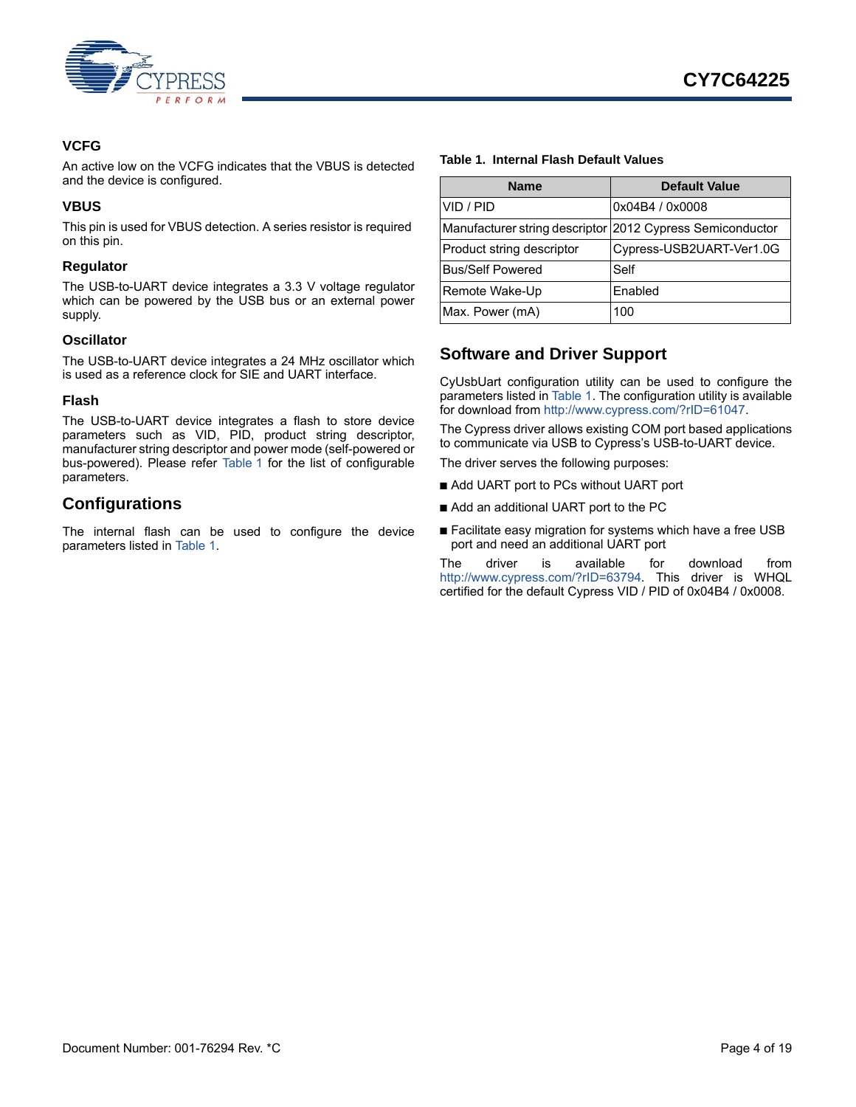

#### <span id="page-3-0"></span>**VCFG**

An active low on the VCFG indicates that the VBUS is detected and the device is configured.

#### <span id="page-3-1"></span>**VBUS**

This pin is used for VBUS detection. A series resistor is required on this pin.

#### <span id="page-3-2"></span>**Regulator**

The USB-to-UART device integrates a 3.3 V voltage regulator which can be powered by the USB bus or an external power supply.

#### <span id="page-3-3"></span>**Oscillator**

The USB-to-UART device integrates a 24 MHz oscillator which is used as a reference clock for SIE and UART interface.

#### <span id="page-3-4"></span>**Flash**

The USB-to-UART device integrates a flash to store device parameters such as VID, PID, product string descriptor, manufacturer string descriptor and power mode (self-powered or bus-powered). Please refer [Table 1](#page-3-7) for the list of configurable parameters.

# <span id="page-3-5"></span>**Configurations**

The internal flash can be used to configure the device parameters listed in [Table 1](#page-3-7).

#### <span id="page-3-7"></span>**Table 1. Internal Flash Default Values**

| <b>Name</b>               | <b>Default Value</b>                                      |
|---------------------------|-----------------------------------------------------------|
| VID / PID                 | 0x04B4 / 0x0008                                           |
|                           | Manufacturer string descriptor 2012 Cypress Semiconductor |
| Product string descriptor | Cypress-USB2UART-Ver1.0G                                  |
| <b>Bus/Self Powered</b>   | Self                                                      |
| Remote Wake-Up            | Enabled                                                   |
| Max. Power (mA)           | 100                                                       |

# <span id="page-3-6"></span>**Software and Driver Support**

CyUsbUart configuration utility can be used to configure the parameters listed in [Table 1](#page-3-7)[. The configuration utility is available](http://www.cypress.com/?rID=61047) [for download from](http://www.cypress.com/?rID=61047) http://www.cypress.com/?rID=61047.

The Cypress driver allows existing COM port based applications to communicate via USB to Cypress's USB-to-UART device.

The driver serves the following purposes:

- Add UART port to PCs without UART port
- Add an additional UART port to the PC
- Facilitate easy migration for systems which have a free USB port and need an additional UART port

[The driver is available for download from](http://www.cypress.com/?rID=63794) http://www.cypress.com/?rID=63794. This driver is WHQL certified for the default Cypress VID / PID of 0x04B4 / 0x0008.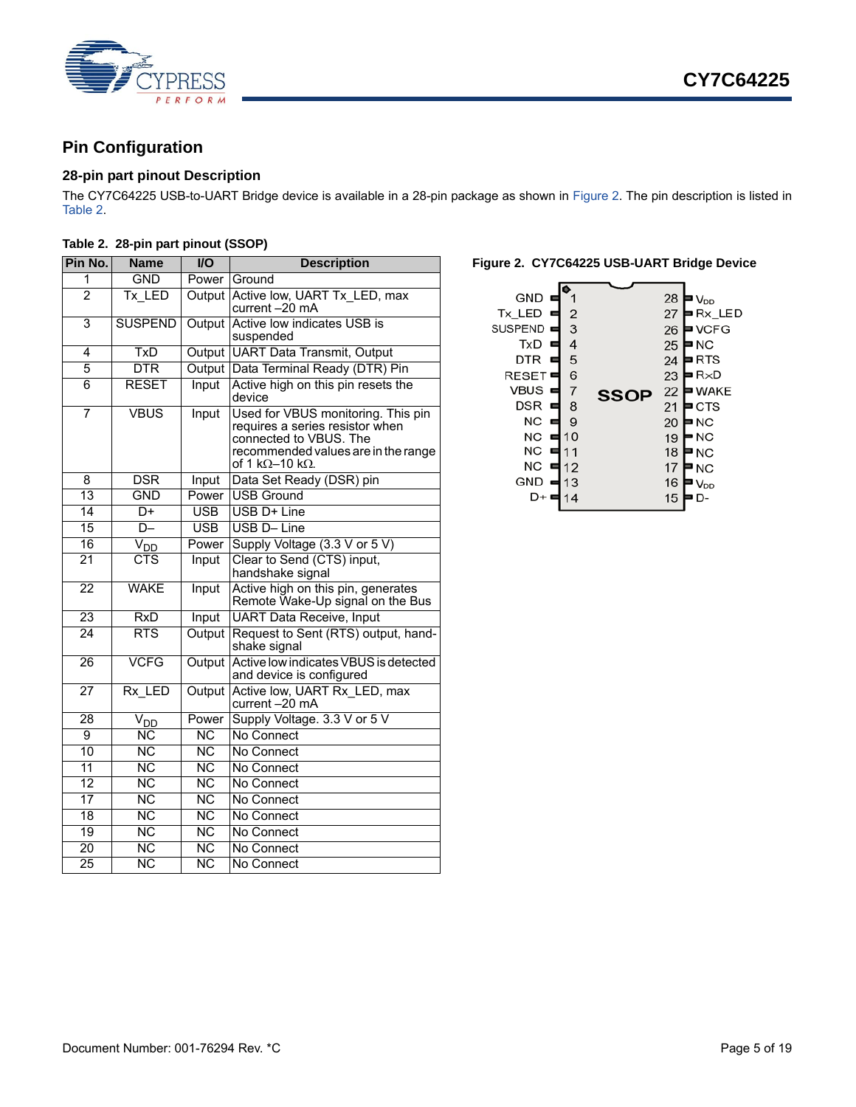



# <span id="page-4-0"></span>**Pin Configuration**

#### <span id="page-4-1"></span>**28-pin part pinout Description**

The CY7C64225 USB-to-UART Bridge device is available in a 28-pin package as shown in [Figure 2.](#page-4-2) The pin description is listed in [Table 2.](#page-4-3)

#### <span id="page-4-3"></span>**Table 2. 28-pin part pinout (SSOP)**

| Pin No.         | <b>Name</b>                                 | <b>VO</b>              | <b>Description</b>                                                                                                                                                         |  |  |  |
|-----------------|---------------------------------------------|------------------------|----------------------------------------------------------------------------------------------------------------------------------------------------------------------------|--|--|--|
| 1               | <b>GND</b>                                  | Power                  | Ground                                                                                                                                                                     |  |  |  |
| $\overline{2}$  | Tx_LED                                      |                        | Output Active low, UART Tx LED, max<br>current -20 mA                                                                                                                      |  |  |  |
| 3               | <b>SUSPEND</b>                              | Output                 | Active low indicates USB is<br>suspended                                                                                                                                   |  |  |  |
| 4               | TxD                                         |                        | Output UART Data Transmit, Output                                                                                                                                          |  |  |  |
| 5               | $\overline{DTR}$                            |                        | Output Data Terminal Ready (DTR) Pin                                                                                                                                       |  |  |  |
| 6               | <b>RESET</b>                                | Input                  | Active high on this pin resets the<br>device                                                                                                                               |  |  |  |
| 7               | <b>VBUS</b>                                 | Input                  | Used for VBUS monitoring. This pin<br>requires a series resistor when<br>connected to VBUS. The<br>recommended values are in the range<br>of 1 k $\Omega$ –10 k $\Omega$ . |  |  |  |
| 8               | <b>DSR</b>                                  | Input                  | Data Set Ready (DSR) pin                                                                                                                                                   |  |  |  |
| $\overline{13}$ | <b>GND</b>                                  | Power                  | <b>USB Ground</b>                                                                                                                                                          |  |  |  |
| 14              | $\overline{\mathsf{D}^+}$                   | <b>USB</b>             | USB D+ Line                                                                                                                                                                |  |  |  |
| $\overline{15}$ | $\overline{D-}$                             | <b>USB</b>             | USB D-Line                                                                                                                                                                 |  |  |  |
| 16              | $\overline{V}_{\underline{D}\underline{D}}$ | Power                  | Supply Voltage (3.3 V or 5 V)                                                                                                                                              |  |  |  |
| $\overline{21}$ | CTS                                         | Input                  | Clear to Send (CTS) input,<br>handshake signal                                                                                                                             |  |  |  |
| $\overline{22}$ | <b>WAKE</b>                                 | Input                  | Active high on this pin, generates<br>Remote Wake-Up signal on the Bus                                                                                                     |  |  |  |
| 23              | RxD                                         | Input                  | <b>UART Data Receive, Input</b>                                                                                                                                            |  |  |  |
| $\overline{24}$ | RTS                                         | Output                 | Request to Sent (RTS) output, hand-<br>shake signal                                                                                                                        |  |  |  |
| 26              | <b>VCFG</b>                                 | Output                 | Active low indicates VBUS is detected<br>and device is configured                                                                                                          |  |  |  |
| $\overline{27}$ | Rx LED                                      | Output                 | Active low, UART Rx LED, max<br>current-20 mA                                                                                                                              |  |  |  |
| 28              | V <sub>DD</sub>                             | Power                  | Supply Voltage. 3.3 V or 5 V                                                                                                                                               |  |  |  |
| 9               | <b>NC</b>                                   | $\overline{\text{NC}}$ | No Connect                                                                                                                                                                 |  |  |  |
| 10              | NС                                          | <b>NC</b>              | No Connect                                                                                                                                                                 |  |  |  |
| $\overline{11}$ | NС                                          | <b>NC</b>              | No Connect                                                                                                                                                                 |  |  |  |
| $\overline{12}$ | $\overline{\text{NC}}$                      | $\overline{\text{NC}}$ | No Connect                                                                                                                                                                 |  |  |  |
| $\overline{17}$ | NС                                          | NС                     | No Connect                                                                                                                                                                 |  |  |  |
| $\overline{18}$ | <b>NC</b>                                   | <b>NC</b>              | No Connect                                                                                                                                                                 |  |  |  |
| 19              | $\overline{\text{NC}}$                      | $\overline{\text{NC}}$ | No Connect                                                                                                                                                                 |  |  |  |
| $\overline{20}$ | <b>NC</b>                                   | NС                     | No Connect                                                                                                                                                                 |  |  |  |
| $\overline{25}$ | <b>NC</b>                                   | <b>NC</b>              | No Connect                                                                                                                                                                 |  |  |  |

#### <span id="page-4-2"></span>**Figure 2. CY7C64225 USB-UART Bridge Device**

| <b>GND</b>     |          |                |             | 28 | <b>V<sub>DD</sub></b> |
|----------------|----------|----------------|-------------|----|-----------------------|
| Tx_LED         |          | $\overline{2}$ |             | 27 | ■Rx_LED               |
| <b>SUSPEND</b> |          | 3              |             | 26 | <b>VCFG</b>           |
| <b>TxD</b>     |          | 4              |             | 25 | ■ NC                  |
| <b>DTR</b>     |          | 5              |             | 24 | <b>RTS</b>            |
| RESET          |          | 6              |             | 23 | ∍R×D                  |
| VBUS           |          | 7              | <b>SSOP</b> | 22 | WAKE                  |
| DSR            |          | 8              |             | 21 | CTS                   |
| NС             |          | 9              |             | 20 | ■NC                   |
| ΝC             | $\equiv$ | 10             |             | 19 | •NC                   |
| NC             |          | 11             |             | 18 | <b>NC</b>             |
| NС             |          | 12             |             | 17 | ªNC                   |
| GND            |          | 13             |             | 16 | V <sub>DD</sub>       |
| D+ ■           |          | 14             |             | 15 |                       |
|                |          |                |             |    |                       |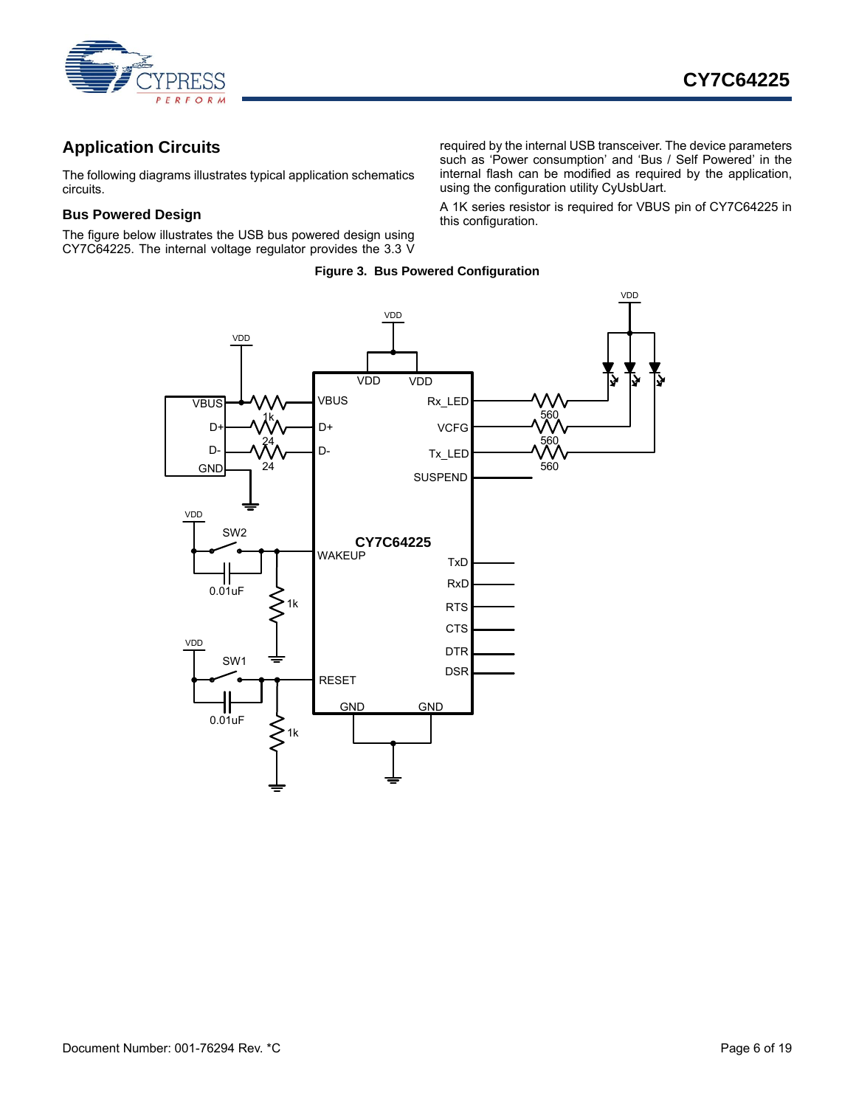

# <span id="page-5-0"></span>**Application Circuits**

The following diagrams illustrates typical application schematics circuits.

#### <span id="page-5-1"></span>**Bus Powered Design**

<span id="page-5-2"></span>The figure below illustrates the USB bus powered design using CY7C64225. The internal voltage regulator provides the 3.3 V

required by the internal USB transceiver. The device parameters such as 'Power consumption' and 'Bus / Self Powered' in the internal flash can be modified as required by the application, using the configuration utility CyUsbUart.

A 1K series resistor is required for VBUS pin of CY7C64225 in this configuration.



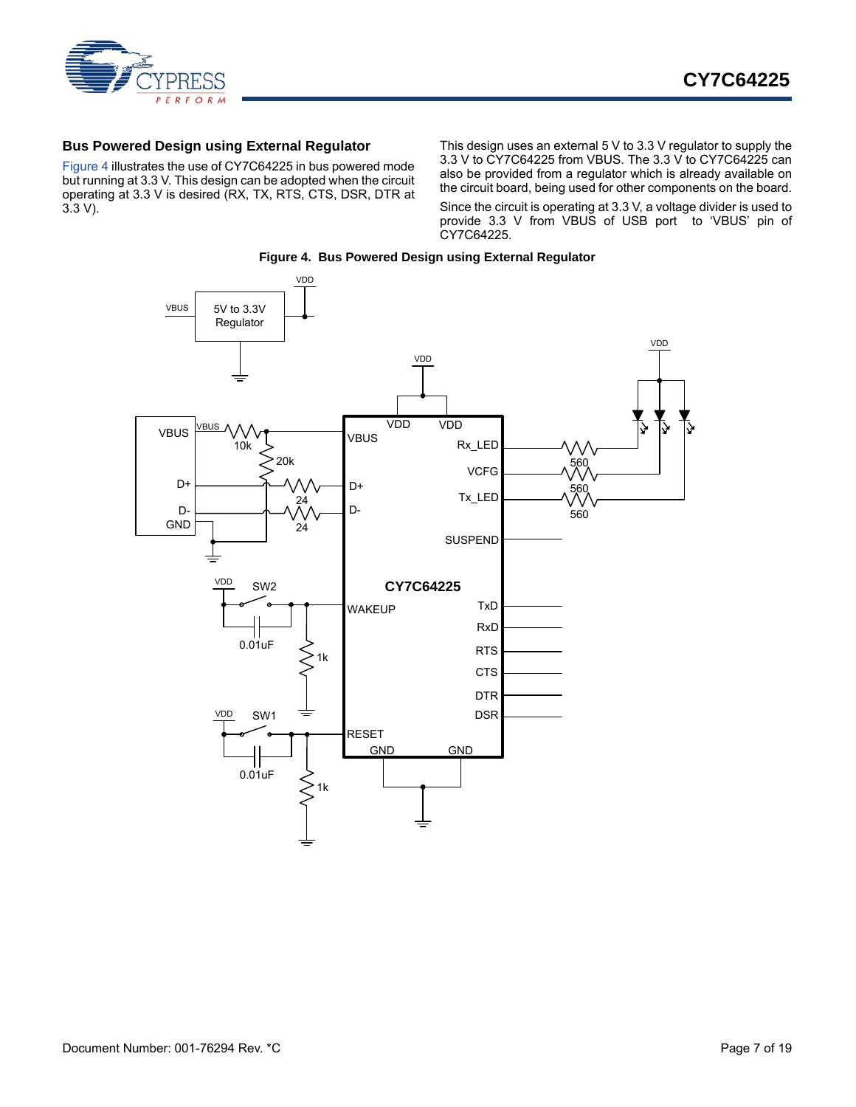

#### <span id="page-6-0"></span>**Bus Powered Design using External Regulator**

[Figure 4](#page-6-1) illustrates the use of CY7C64225 in bus powered mode but running at 3.3 V. This design can be adopted when the circuit operating at 3.3 V is desired (RX, TX, RTS, CTS, DSR, DTR at 3.3 V).

This design uses an external 5 V to 3.3 V regulator to supply the 3.3 V to CY7C64225 from VBUS. The 3.3 V to CY7C64225 can also be provided from a regulator which is already available on the circuit board, being used for other components on the board.

Since the circuit is operating at 3.3 V, a voltage divider is used to provide 3.3 V from VBUS of USB port to 'VBUS' pin of CY7C64225.

<span id="page-6-1"></span>

#### **Figure 4. Bus Powered Design using External Regulator**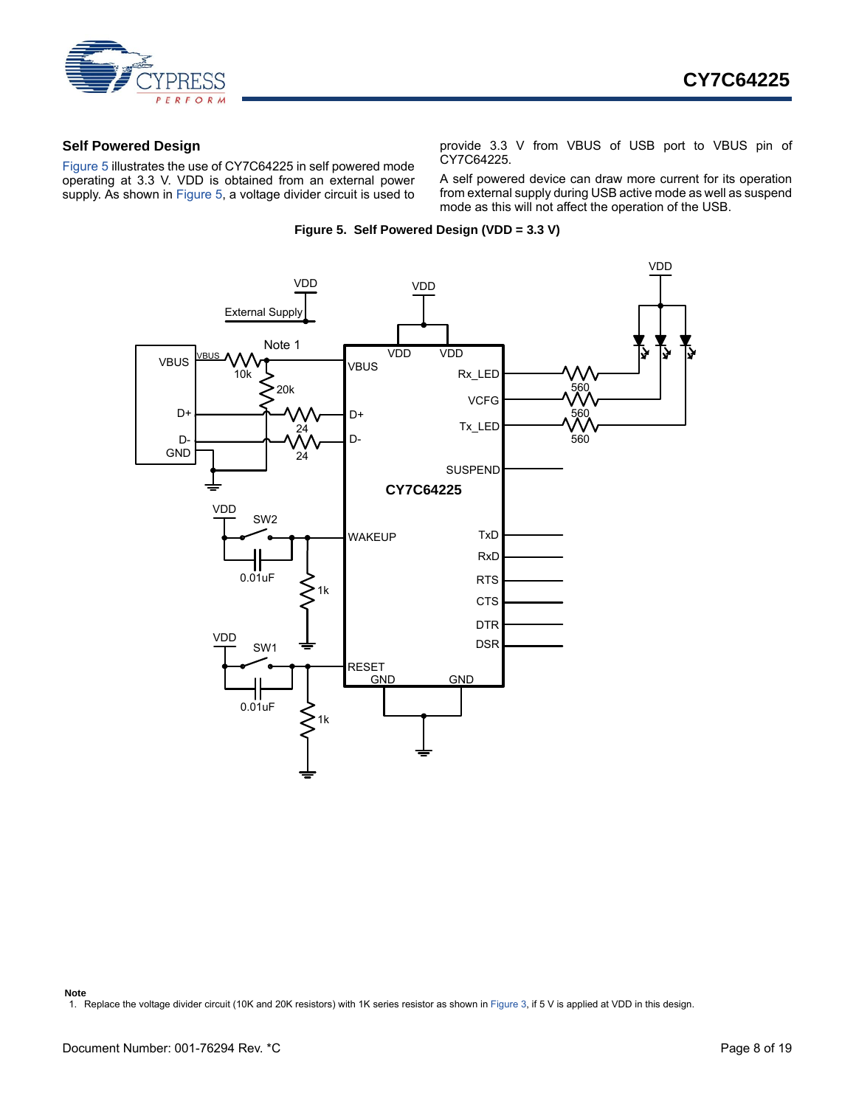

#### <span id="page-7-0"></span>**Self Powered Design**

[Figure 5](#page-7-1) illustrates the use of CY7C64225 in self powered mode operating at 3.3 V. VDD is obtained from an external power supply. As shown in [Figure 5](#page-7-1), a voltage divider circuit is used to provide 3.3 V from VBUS of USB port to VBUS pin of CY7C64225.

A self powered device can draw more current for its operation from external supply during USB active mode as well as suspend mode as this will not affect the operation of the USB.



<span id="page-7-2"></span><span id="page-7-1"></span>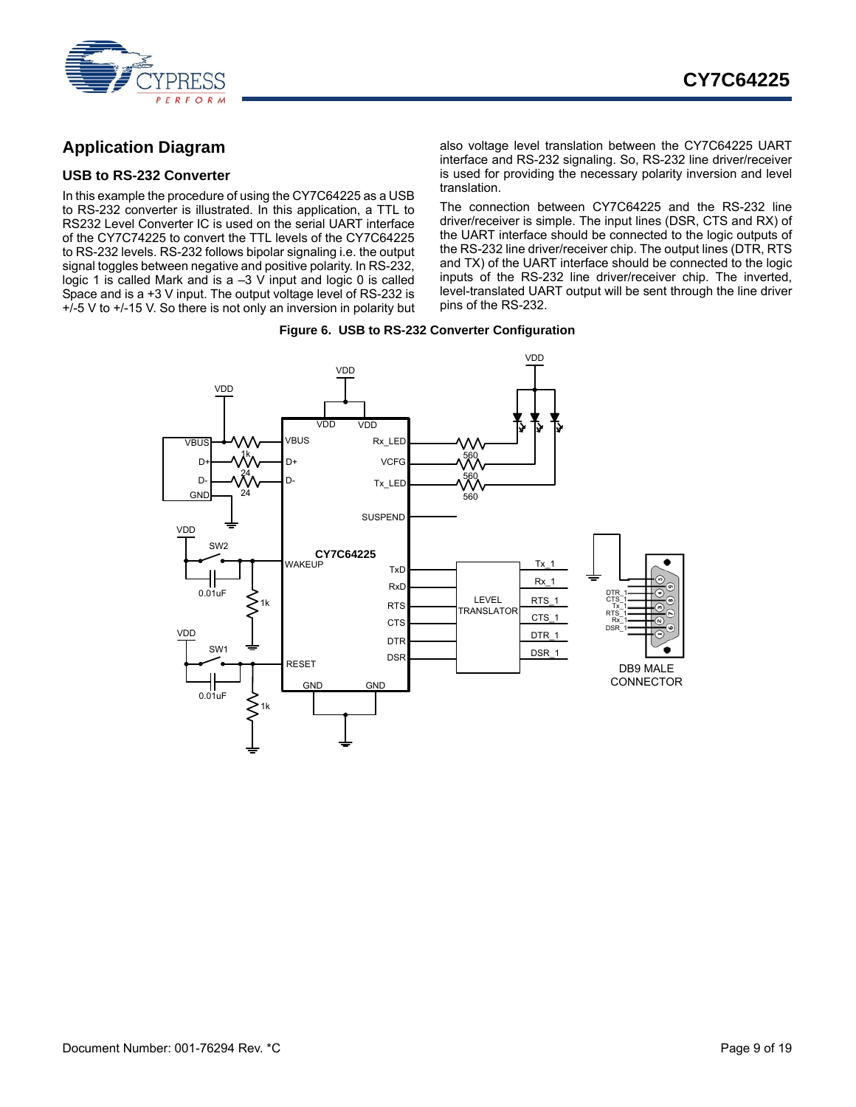

# <span id="page-8-0"></span>**Application Diagram**

#### <span id="page-8-1"></span>**USB to RS-232 Converter**

In this example the procedure of using the CY7C64225 as a USB to RS-232 converter is illustrated. In this application, a TTL to RS232 Level Converter IC is used on the serial UART interface of the CY7C74225 to convert the TTL levels of the CY7C64225 to RS-232 levels. RS-232 follows bipolar signaling i.e. the output signal toggles between negative and positive polarity. In RS-232, logic 1 is called Mark and is a –3 V input and logic 0 is called Space and is a +3 V input. The output voltage level of RS-232 is +/-5 V to +/-15 V. So there is not only an inversion in polarity but also voltage level translation between the CY7C64225 UART interface and RS-232 signaling. So, RS-232 line driver/receiver is used for providing the necessary polarity inversion and level translation.

The connection between CY7C64225 and the RS-232 line driver/receiver is simple. The input lines (DSR, CTS and RX) of the UART interface should be connected to the logic outputs of the RS-232 line driver/receiver chip. The output lines (DTR, RTS and TX) of the UART interface should be connected to the logic inputs of the RS-232 line driver/receiver chip. The inverted, level-translated UART output will be sent through the line driver pins of the RS-232.

#### **Figure 6. USB to RS-232 Converter Configuration**

<span id="page-8-2"></span>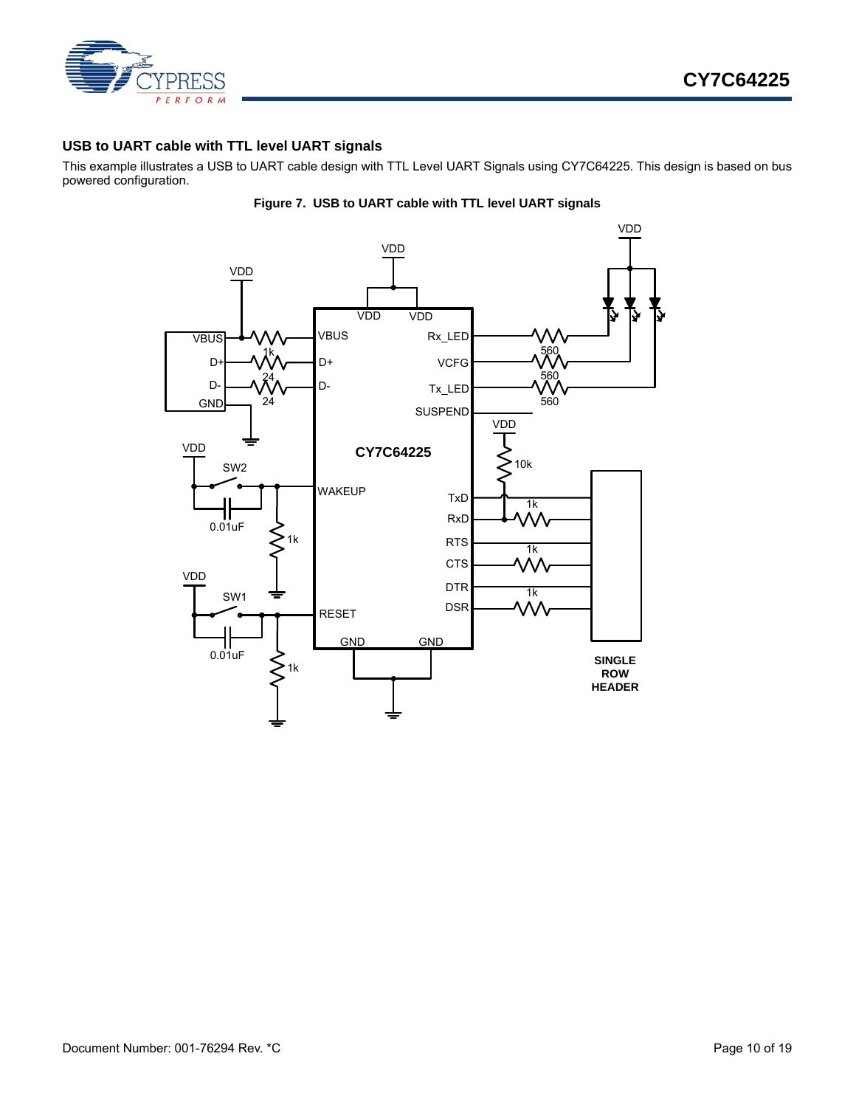

#### <span id="page-9-0"></span>**USB to UART cable with TTL level UART signals**

This example illustrates a USB to UART cable design with TTL Level UART Signals using CY7C64225. This design is based on bus powered configuration.



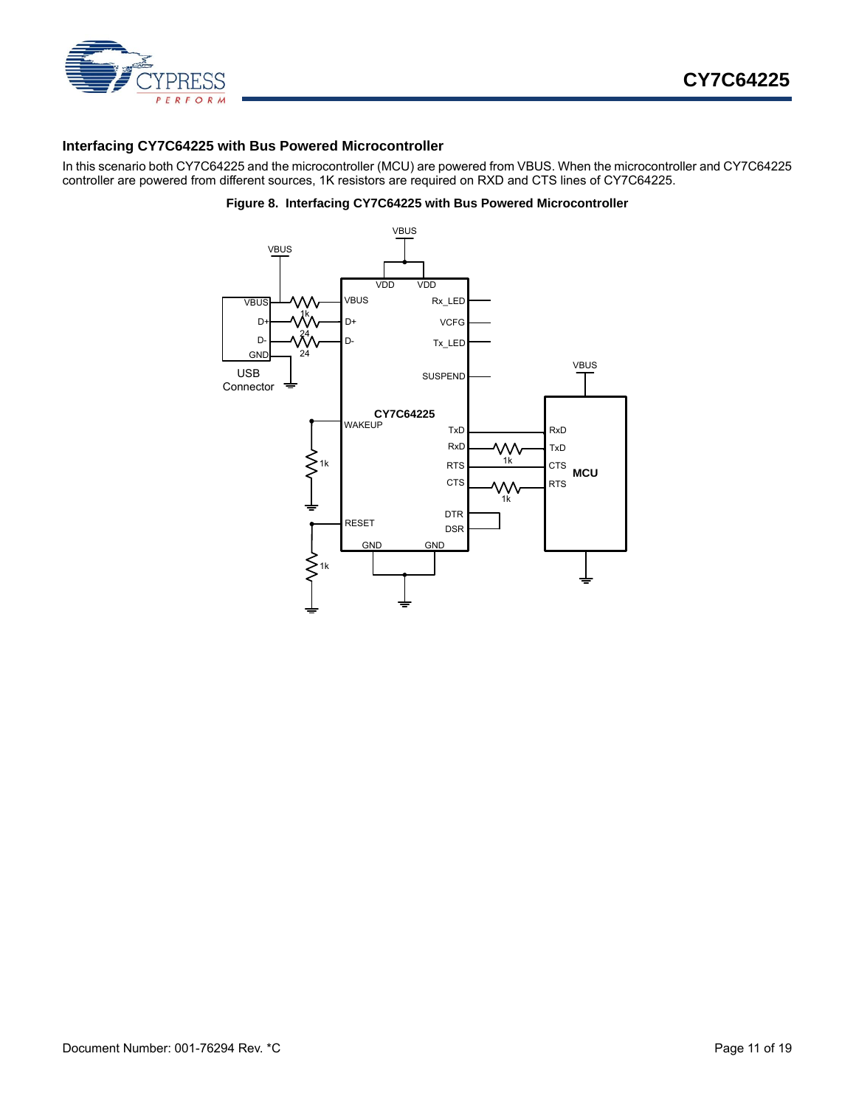

#### <span id="page-10-0"></span>**Interfacing CY7C64225 with Bus Powered Microcontroller**

<span id="page-10-1"></span>In this scenario both CY7C64225 and the microcontroller (MCU) are powered from VBUS. When the microcontroller and CY7C64225 controller are powered from different sources, 1K resistors are required on RXD and CTS lines of CY7C64225.

#### **Figure 8. Interfacing CY7C64225 with Bus Powered Microcontroller**

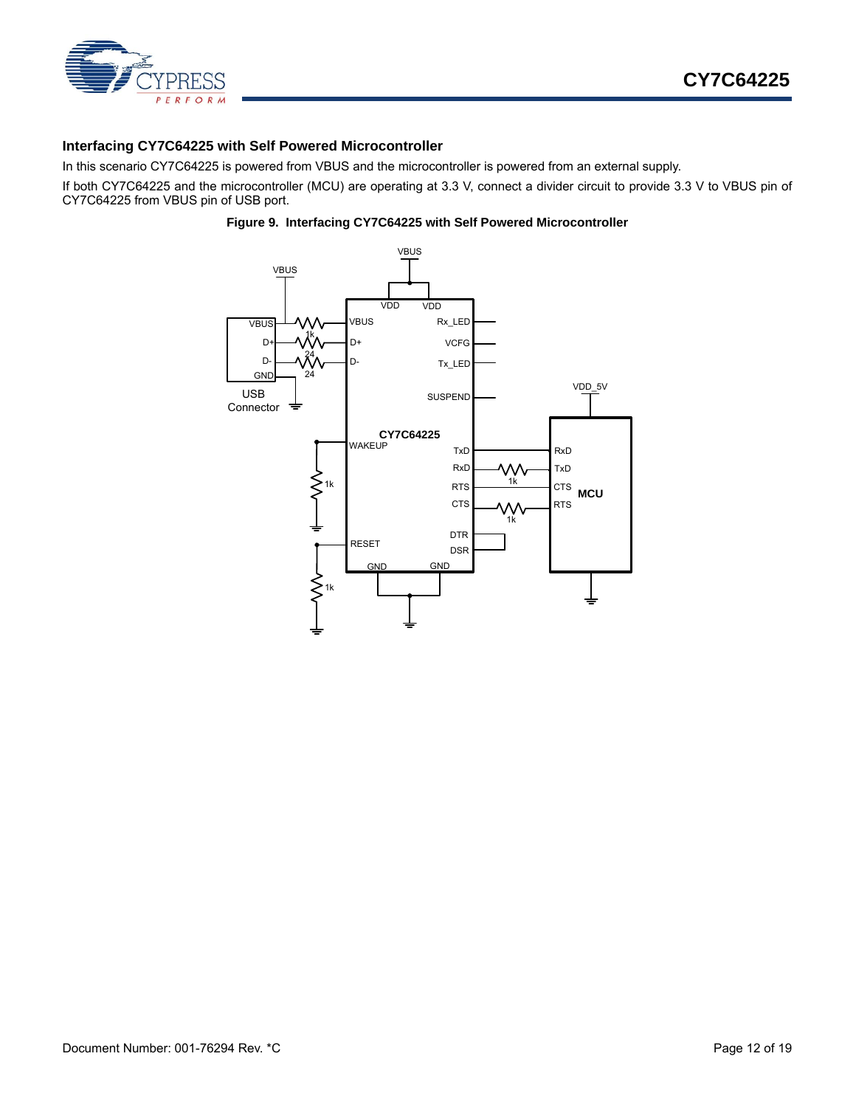

#### <span id="page-11-0"></span>**Interfacing CY7C64225 with Self Powered Microcontroller**

In this scenario CY7C64225 is powered from VBUS and the microcontroller is powered from an external supply.

If both CY7C64225 and the microcontroller (MCU) are operating at 3.3 V, connect a divider circuit to provide 3.3 V to VBUS pin of CY7C64225 from VBUS pin of USB port.

#### **Figure 9. Interfacing CY7C64225 with Self Powered Microcontroller**

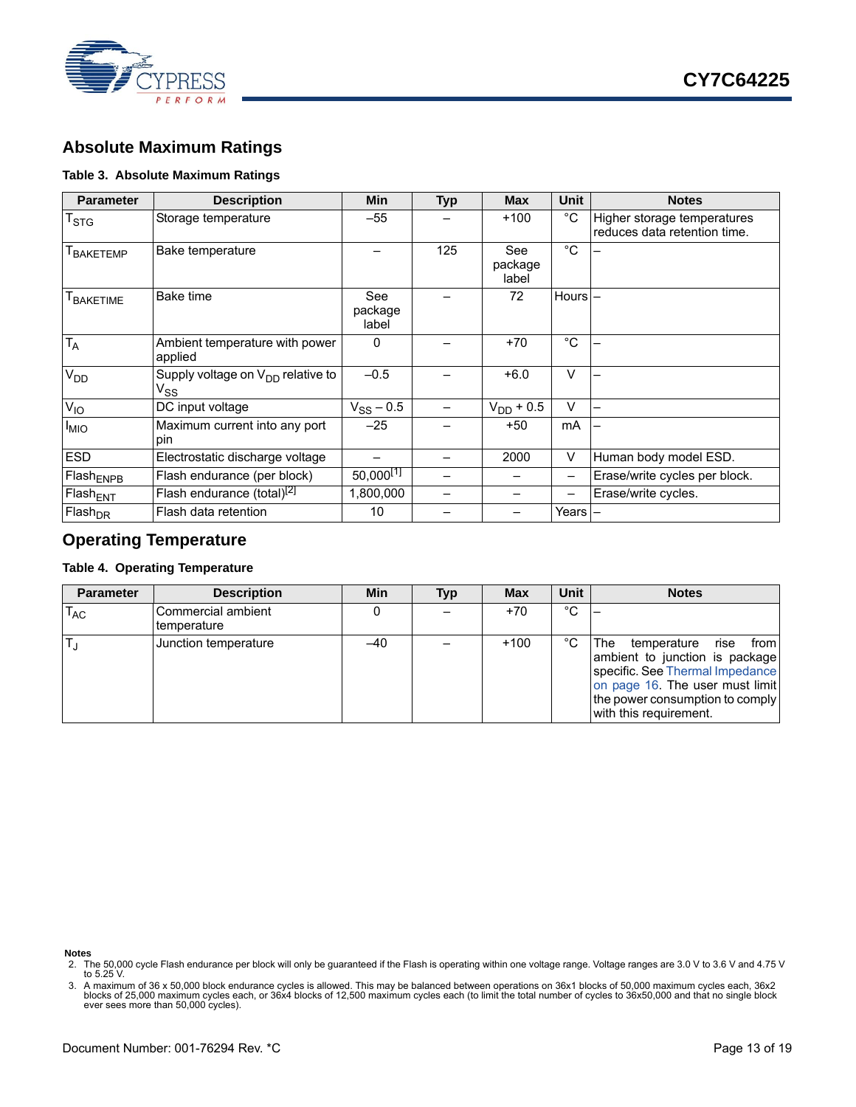

# <span id="page-12-0"></span>**Absolute Maximum Ratings**

#### <span id="page-12-2"></span>**Table 3. Absolute Maximum Ratings**

| <b>Parameter</b>       | <b>Description</b>                                 | <b>Min</b>              | <b>Typ</b> | <b>Max</b>              | <b>Unit</b>  | <b>Notes</b>                                                |
|------------------------|----------------------------------------------------|-------------------------|------------|-------------------------|--------------|-------------------------------------------------------------|
| T <sub>STG</sub>       | Storage temperature                                | $-55$                   |            | $+100$                  | $^{\circ}$ C | Higher storage temperatures<br>reduces data retention time. |
| <b>BAKETEMP</b>        | Bake temperature                                   |                         | 125        | See<br>package<br>label | $^{\circ}C$  |                                                             |
| <b>BAKETIME</b>        | Bake time                                          | See<br>package<br>label |            | 72                      | $Hours$ –    |                                                             |
| $T_A$                  | Ambient temperature with power<br>applied          | $\Omega$                |            | $+70$                   | $^{\circ}C$  |                                                             |
| V <sub>DD</sub>        | Supply voltage on $V_{DD}$ relative to<br>$V_{SS}$ | $-0.5$                  |            | $+6.0$                  | $\vee$       |                                                             |
| $V_{IO}$               | DC input voltage                                   | $V_{SS}$ – 0.5          |            | $V_{DD}$ + 0.5          | $\vee$       |                                                             |
| <b>I<sub>MIO</sub></b> | Maximum current into any port<br>pin               | $-25$                   |            | $+50$                   | mA           |                                                             |
| <b>ESD</b>             | Electrostatic discharge voltage                    |                         |            | 2000                    | V            | Human body model ESD.                                       |
| Flash <sub>ENPB</sub>  | Flash endurance (per block)                        | $50,000^{[1]}$          |            |                         | -            | Erase/write cycles per block.                               |
| Flash <sub>ENT</sub>   | Flash endurance (total) <sup>[2]</sup>             | 1,800,000               |            |                         | -            | Erase/write cycles.                                         |
| Flash <sub>DR</sub>    | Flash data retention                               | 10                      |            |                         | Years I–     |                                                             |

# <span id="page-12-1"></span>**Operating Temperature**

#### **Table 4. Operating Temperature**

| <b>Parameter</b> | <b>Description</b>                | Min | Typ | <b>Max</b> | Unit         | <b>Notes</b>                                                                                                                                                                                           |
|------------------|-----------------------------------|-----|-----|------------|--------------|--------------------------------------------------------------------------------------------------------------------------------------------------------------------------------------------------------|
| $T_{AC}$         | Commercial ambient<br>temperature |     |     | $+70$      | $^{\circ}$ C |                                                                                                                                                                                                        |
|                  | Junction temperature              | -40 |     | $+100$     | °C           | The l<br>from<br>temperature rise<br>ambient to junction is package<br>specific. See Thermal Impedance<br>on page 16. The user must limit<br>the power consumption to comply<br>with this requirement. |

**Notes**

2. The 50,000 cycle Flash endurance per block will only be guaranteed if the Flash is operating within one voltage range. Voltage ranges are 3.0 V to 3.6 V and 4.75 V to 5.25 V.

<sup>3.</sup> A maximum of 36 x 50,000 block endurance cycles is allowed. This may be balanced between operations on 36x1 blocks of 50,000 maximum cycles each, 36x2 blocks of 25,000 maximum cycles each, or 36x4 blocks of 12,500 maximum cycles each (to limit the total number of cycles to 36x50,000 and that no single block ever sees more than 50,000 cycles).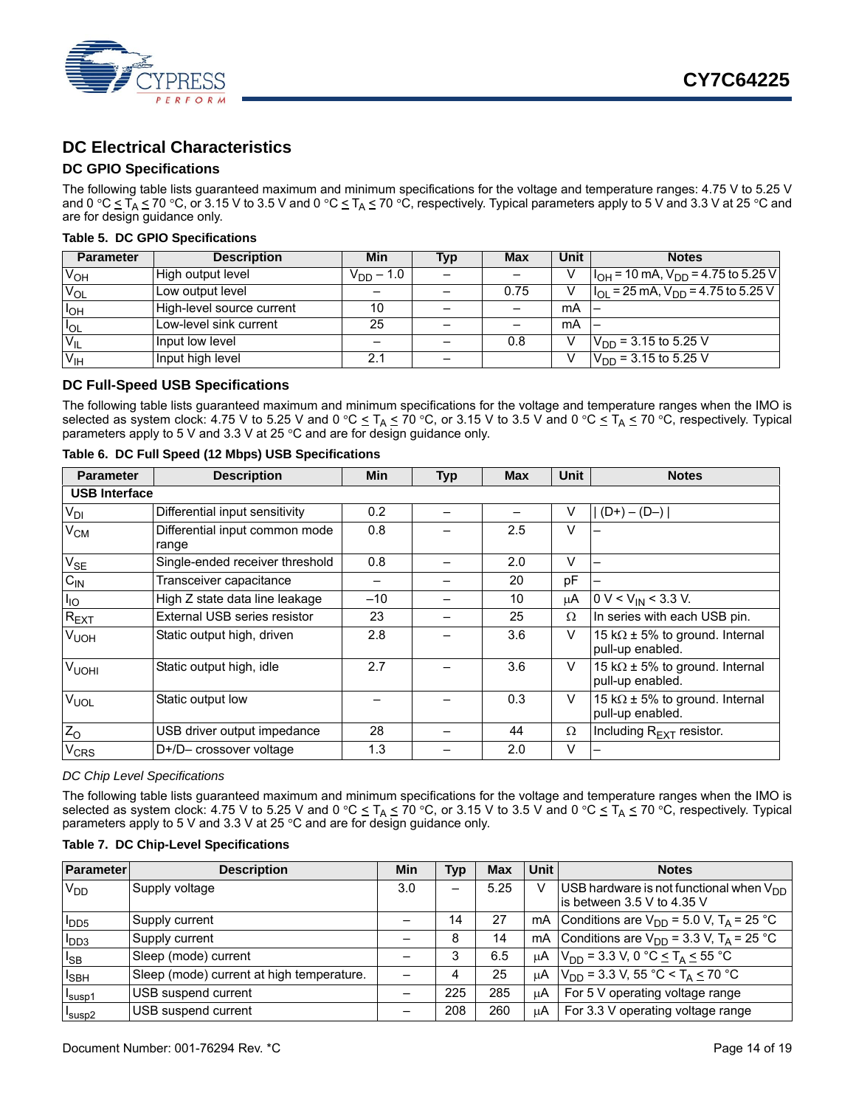

# <span id="page-13-0"></span>**DC Electrical Characteristics**

#### <span id="page-13-1"></span>**DC GPIO Specifications**

The following table lists guaranteed maximum and minimum specifications for the voltage and temperature ranges: 4.75 V to 5.25 V and 0 °C  $\leq$  T<sub>A</sub>  $\leq$  70 °C, or 3.15 V to 3.5 V and 0 °C  $\leq$  T<sub>A</sub>  $\leq$  70 °C, respectively. Typical parameters apply to 5 V and 3.3 V at 25 °C and are for design guidance only.

#### **Table 5. DC GPIO Specifications**

| <b>Parameter</b> | <b>Description</b>        | Min            | Typ | <b>Max</b> | Unit | <b>Notes</b>                                 |
|------------------|---------------------------|----------------|-----|------------|------|----------------------------------------------|
| $V_{OH}$         | High output level         | $V_{DD} - 1.0$ |     |            |      | $ I_{OH}$ = 10 mA, $V_{DD}$ = 4.75 to 5.25 V |
| $V_{OL}$         | Low output level          |                |     | 0.75       |      | $I_{OL}$ = 25 mA, $V_{DD}$ = 4.75 to 5.25 V  |
| $I_{OH}$         | High-level source current | 10             |     |            | mA   |                                              |
| $I_{OL}$         | Low-level sink current    | 25             |     |            | mA   |                                              |
| $V_{IL}$         | Input low level           |                |     | 0.8        |      | $V_{DD}$ = 3.15 to 5.25 V                    |
| $V_{\text{IH}}$  | Input high level          | 2.1            |     |            | V    | $V_{DD}$ = 3.15 to 5.25 V                    |

#### <span id="page-13-2"></span>**DC Full-Speed USB Specifications**

The following table lists guaranteed maximum and minimum specifications for the voltage and temperature ranges when the IMO is selected as system clock: 4.75 V to 5.25 V and 0 °C  $\leq$  T<sub>A</sub>  $\leq$  70 °C, or 3.15 V to 3.5 V and 0 °C  $\leq$  T<sub>A</sub>  $\leq$  70 °C, respectively. Typical parameters apply to 5 V and 3.3 V at 25  $^{\circ}$ C and are for design guidance only.

| <b>Fable 6. DC Full Speed (12 Mbps) USB Specifications</b> |                                         |            |            |            |             |                                                            |
|------------------------------------------------------------|-----------------------------------------|------------|------------|------------|-------------|------------------------------------------------------------|
| <b>Parameter</b>                                           | <b>Description</b>                      | <b>Min</b> | <b>Typ</b> | <b>Max</b> | <b>Unit</b> | <b>Notes</b>                                               |
| <b>USB Interface</b>                                       |                                         |            |            |            |             |                                                            |
| V <sub>DI</sub>                                            | Differential input sensitivity          | 0.2        |            |            | V           | $ (D+) - (D-) $                                            |
| $\rm V_{CM}$                                               | Differential input common mode<br>range | 0.8        |            | 2.5        | $\vee$      |                                                            |
| $\overline{V_{SE}}$                                        | Single-ended receiver threshold         | 0.8        |            | 2.0        | V           |                                                            |
| $C_{\mathsf{IN}}$                                          | Transceiver capacitance                 |            |            | 20         | pF          |                                                            |
| Ιю                                                         | High Z state data line leakage          | $-10$      |            | 10         | μA          | $0 V < V_{IN} < 3.3 V$ .                                   |
| $R_{\text{EXT}}$                                           | External USB series resistor            | 23         |            | 25         | Ω           | In series with each USB pin.                               |
| V <sub>UOH</sub>                                           | Static output high, driven              | 2.8        |            | 3.6        | v           | 15 k $\Omega$ ± 5% to ground. Internal<br>pull-up enabled. |
| V <sub>UOHI</sub>                                          | Static output high, idle                | 2.7        |            | 3.6        | V           | 15 k $\Omega$ ± 5% to ground. Internal<br>pull-up enabled. |
| V <sub>UOL</sub>                                           | Static output low                       |            |            | 0.3        | V           | 15 k $\Omega$ ± 5% to ground. Internal<br>pull-up enabled. |
| $Z_{\rm O}$                                                | USB driver output impedance             | 28         |            | 44         | Ω           | Including R <sub>EXT</sub> resistor.                       |
| $V_{CRS}$                                                  | D+/D- crossover voltage                 | 1.3        |            | 2.0        | V           |                                                            |
|                                                            |                                         |            |            |            |             |                                                            |

#### **Table 6. DC Full Speed (12 Mbps) USB Specifications**

#### <span id="page-13-3"></span>*DC Chip Level Specifications*

The following table lists guaranteed maximum and minimum specifications for the voltage and temperature ranges when the IMO is selected as system clock: 4.75 V to 5.25 V and 0 °C  $\leq$  T<sub>A</sub>  $\leq$  70 °C, or 3.15 V to 3.5 V and 0 °C  $\leq$  T<sub>A</sub>  $\leq$  70 °C, respectively. Typical parameters apply to 5 V and 3.3 V at 25  $^{\circ}$ C and are for design guidance only.

#### **Table 7. DC Chip-Level Specifications**

| <b>Parameter</b>   | <b>Description</b>                        | Min | Typ | Max  | <b>Unit</b> | <b>Notes</b>                                                               |
|--------------------|-------------------------------------------|-----|-----|------|-------------|----------------------------------------------------------------------------|
| $V_{DD}$           | Supply voltage                            | 3.0 | —   | 5.25 |             | USB hardware is not functional when $V_{DD}$<br>is between 3.5 V to 4.35 V |
| <b>IDD5</b>        | Supply current                            |     | 14  | 27   | mA          | Conditions are $V_{DD}$ = 5.0 V, T <sub>A</sub> = 25 °C                    |
| I <sub>DD3</sub>   | Supply current                            |     | 8   | 14   | mA          | Conditions are $V_{DD}$ = 3.3 V, T <sub>A</sub> = 25 °C                    |
| $I_{SB}$           | Sleep (mode) current                      |     | 3   | 6.5  | μ $A$       | $V_{DD}$ = 3.3 V, 0 $\overline{C} \leq T_A \leq 55$ $\overline{C}$         |
| <sup>I</sup> SBH   | Sleep (mode) current at high temperature. |     | 4   | 25   | μA          | $V_{DD}$ = 3.3 V, 55 °C < T <sub>A</sub> $\leq$ 70 °C                      |
| I <sub>susp1</sub> | <b>USB</b> suspend current                |     | 225 | 285  | μA          | For 5 V operating voltage range                                            |
| I <sub>susp2</sub> | <b>USB</b> suspend current                |     | 208 | 260  | μA          | For 3.3 V operating voltage range                                          |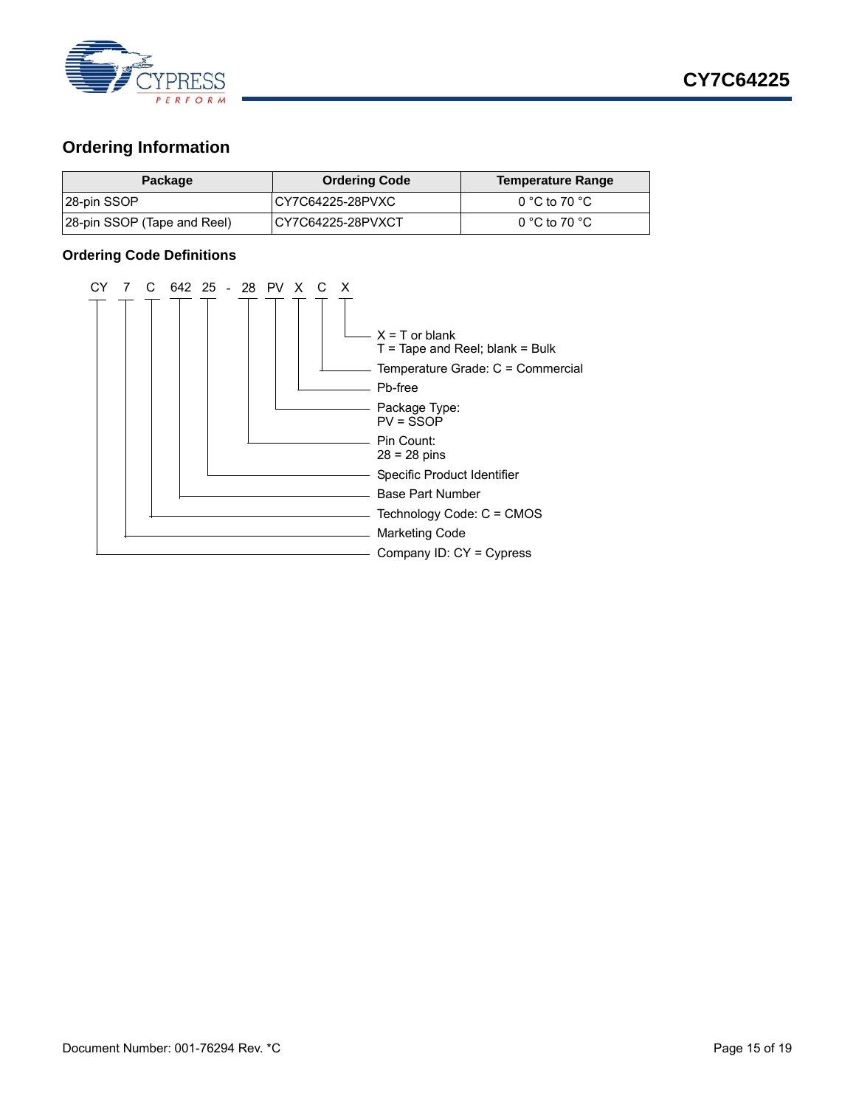

# <span id="page-14-0"></span>**Ordering Information**

| <b>Package</b>              | <b>Ordering Code</b> | Temperature Range |
|-----------------------------|----------------------|-------------------|
| 28-pin SSOP                 | ICY7C64225-28PVXC    | 0 °C to 70 °C     |
| 28-pin SSOP (Tape and Reel) | ICY7C64225-28PVXCT   | 0 °C to 70 °C     |

#### <span id="page-14-1"></span>**Ordering Code Definitions**

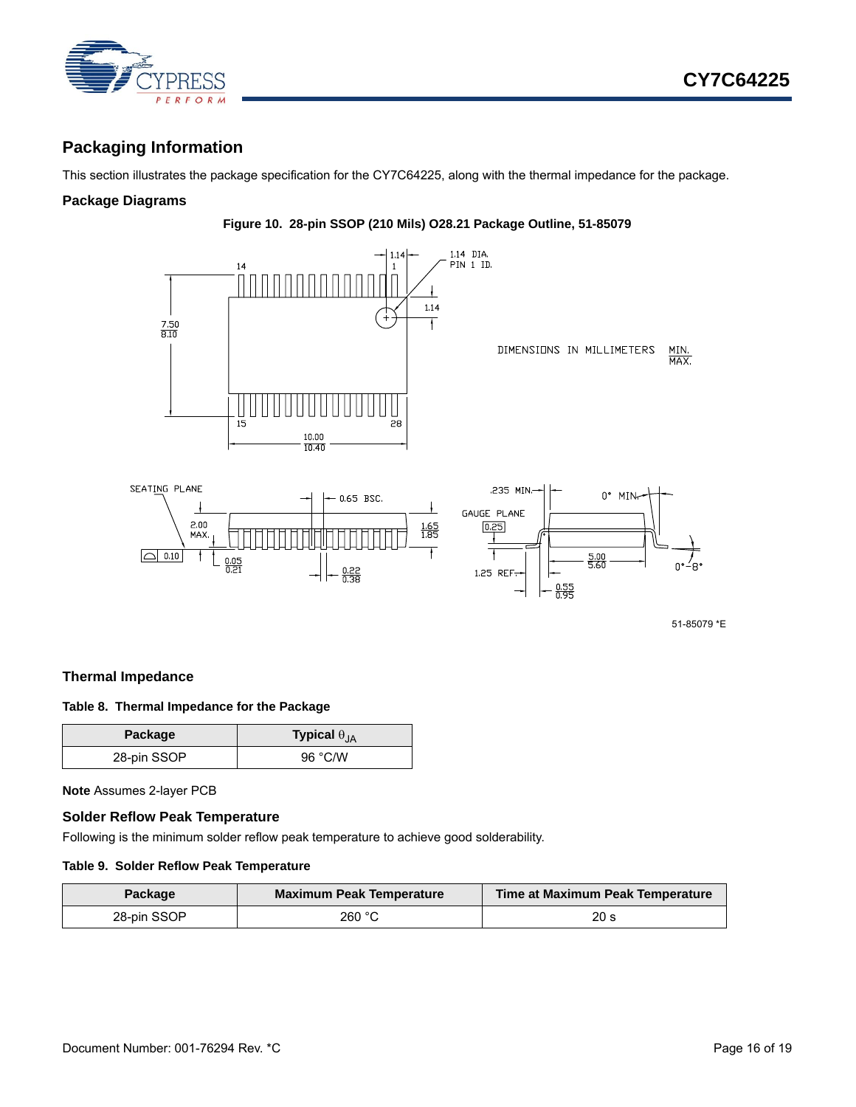

# <span id="page-15-0"></span>**Packaging Information**

This section illustrates the package specification for the CY7C64225, along with the thermal impedance for the package.

#### <span id="page-15-1"></span>**Package Diagrams**



**Figure 10. 28-pin SSOP (210 Mils) O28.21 Package Outline, 51-85079**

 $\frac{1.65}{1.85}$  $\overline{1}$  $\frac{5.00}{5.60}$ .ٰ ⊵ n٠  $0.22$ 1.25 REF  $-\frac{0.55}{0.95}$ 

51-85079 \*E

#### <span id="page-15-2"></span>**Thermal Impedance**

 $\boxed{\bigtriangleup}$  0.10

#### **Table 8. Thermal Impedance for the Package**

| Package     | Typical $\theta_{JA}$ |
|-------------|-----------------------|
| 28-pin SSOP | 96 °C/W               |

 $\frac{0.05}{0.21}$ 

**Note** Assumes 2-layer PCB

#### <span id="page-15-3"></span>**Solder Reflow Peak Temperature**

Following is the minimum solder reflow peak temperature to achieve good solderability.

#### **Table 9. Solder Reflow Peak Temperature**

| <b>Package</b> | <b>Maximum Peak Temperature</b> | Time at Maximum Peak Temperature |
|----------------|---------------------------------|----------------------------------|
| 28-pin SSOP    | 260 °C                          | 20 s                             |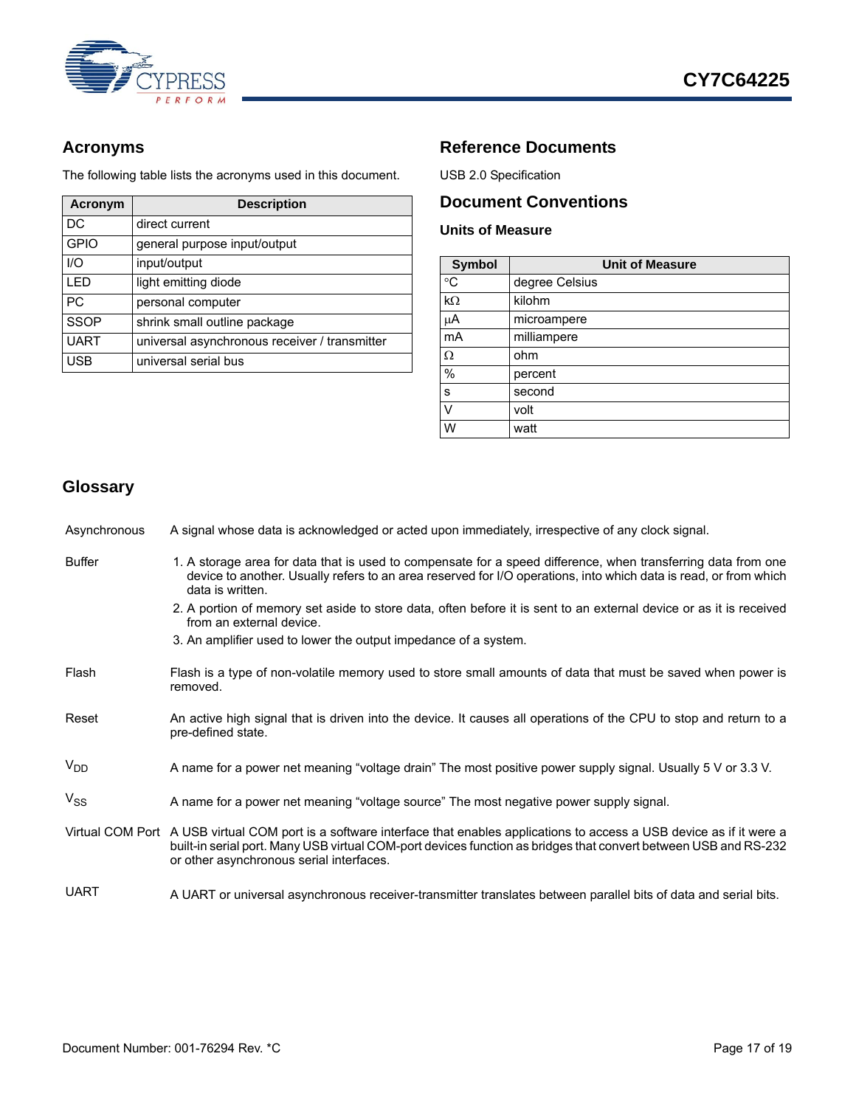

# <span id="page-16-0"></span>**Acronyms**

The following table lists the acronyms used in this document.

| Acronym     | <b>Description</b>                            |  |  |
|-------------|-----------------------------------------------|--|--|
| DC          | direct current                                |  |  |
| <b>GPIO</b> | general purpose input/output                  |  |  |
| I/O         | input/output                                  |  |  |
| I FD        | light emitting diode                          |  |  |
| PC          | personal computer                             |  |  |
| <b>SSOP</b> | shrink small outline package                  |  |  |
| <b>UART</b> | universal asynchronous receiver / transmitter |  |  |
| <b>USB</b>  | universal serial bus                          |  |  |

# <span id="page-16-1"></span>**Reference Documents**

USB 2.0 Specification

# <span id="page-16-2"></span>**Document Conventions**

### <span id="page-16-3"></span>**Units of Measure**

| <b>Symbol</b> | <b>Unit of Measure</b> |  |  |
|---------------|------------------------|--|--|
| $^{\circ}C$   | degree Celsius         |  |  |
| $k\Omega$     | kilohm                 |  |  |
| μA            | microampere            |  |  |
| mA            | milliampere            |  |  |
| Ω             | ohm                    |  |  |
| $\frac{0}{0}$ | percent                |  |  |
| s             | second                 |  |  |
| V             | volt                   |  |  |
| W             | watt                   |  |  |

# <span id="page-16-4"></span>**Glossary**

| Asynchronous | A signal whose data is acknowledged or acted upon immediately, irrespective of any clock signal.                                                                                                                                                                                                |
|--------------|-------------------------------------------------------------------------------------------------------------------------------------------------------------------------------------------------------------------------------------------------------------------------------------------------|
| Buffer       | 1. A storage area for data that is used to compensate for a speed difference, when transferring data from one<br>device to another. Usually refers to an area reserved for I/O operations, into which data is read, or from which<br>data is written.                                           |
|              | 2. A portion of memory set aside to store data, often before it is sent to an external device or as it is received<br>from an external device.                                                                                                                                                  |
|              | 3. An amplifier used to lower the output impedance of a system.                                                                                                                                                                                                                                 |
| Flash        | Flash is a type of non-volatile memory used to store small amounts of data that must be saved when power is<br>removed.                                                                                                                                                                         |
| Reset        | An active high signal that is driven into the device. It causes all operations of the CPU to stop and return to a<br>pre-defined state.                                                                                                                                                         |
| $V_{DD}$     | A name for a power net meaning "voltage drain" The most positive power supply signal. Usually 5 V or 3.3 V.                                                                                                                                                                                     |
| $V_{SS}$     | A name for a power net meaning "voltage source" The most negative power supply signal.                                                                                                                                                                                                          |
|              | Virtual COM Port A USB virtual COM port is a software interface that enables applications to access a USB device as if it were a<br>built-in serial port. Many USB virtual COM-port devices function as bridges that convert between USB and RS-232<br>or other asynchronous serial interfaces. |
| <b>UART</b>  | A UART or universal asynchronous receiver-transmitter translates between parallel bits of data and serial bits.                                                                                                                                                                                 |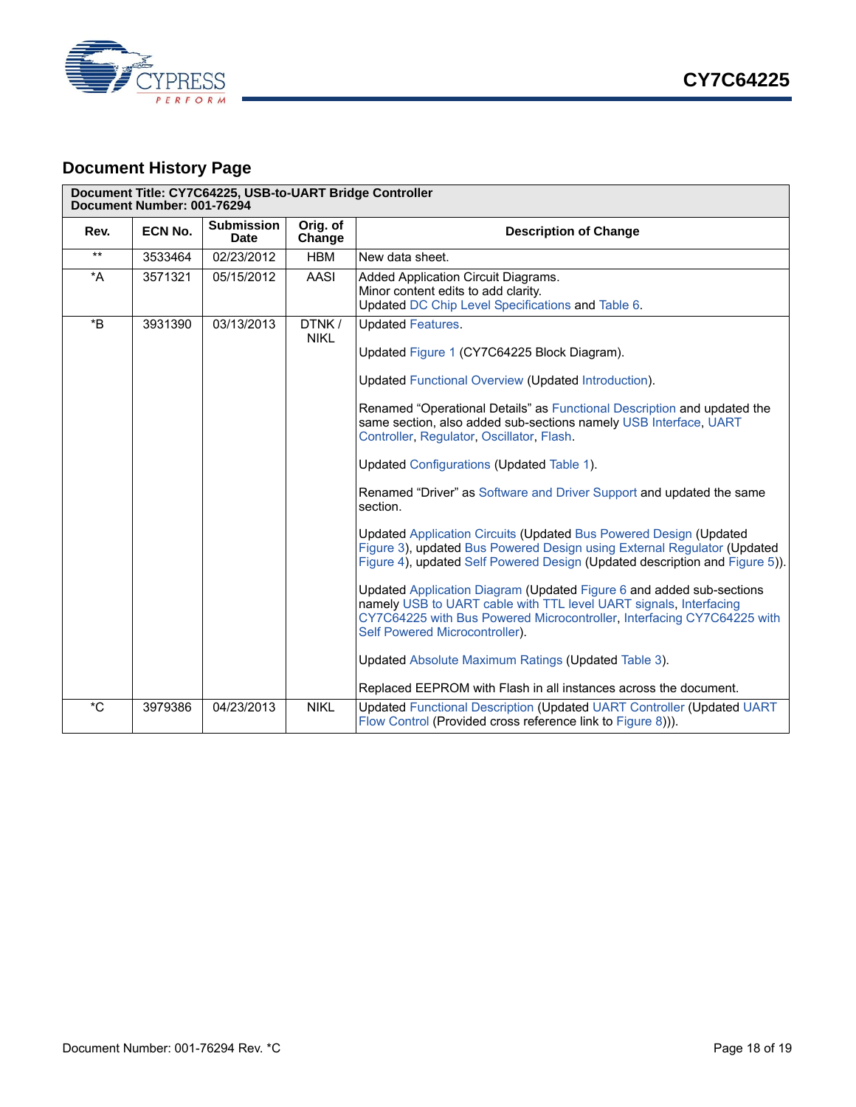



# <span id="page-17-0"></span>**Document History Page**

| Document Title: CY7C64225, USB-to-UART Bridge Controller<br>Document Number: 001-76294 |                |                           |                      |                                                                                                                                                                                                                                                                                                                                                                                                                                                                                                                                                                                                                                                                                                                                                                                                                                                                                                                                                                                                            |
|----------------------------------------------------------------------------------------|----------------|---------------------------|----------------------|------------------------------------------------------------------------------------------------------------------------------------------------------------------------------------------------------------------------------------------------------------------------------------------------------------------------------------------------------------------------------------------------------------------------------------------------------------------------------------------------------------------------------------------------------------------------------------------------------------------------------------------------------------------------------------------------------------------------------------------------------------------------------------------------------------------------------------------------------------------------------------------------------------------------------------------------------------------------------------------------------------|
| Rev.                                                                                   | <b>ECN No.</b> | <b>Submission</b><br>Date | Orig. of<br>Change   | <b>Description of Change</b>                                                                                                                                                                                                                                                                                                                                                                                                                                                                                                                                                                                                                                                                                                                                                                                                                                                                                                                                                                               |
| $***$                                                                                  | 3533464        | 02/23/2012                | <b>HBM</b>           | New data sheet.                                                                                                                                                                                                                                                                                                                                                                                                                                                                                                                                                                                                                                                                                                                                                                                                                                                                                                                                                                                            |
| $\star$ A                                                                              | 3571321        | 05/15/2012                | AASI                 | Added Application Circuit Diagrams.<br>Minor content edits to add clarity.<br>Updated DC Chip Level Specifications and Table 6.                                                                                                                                                                                                                                                                                                                                                                                                                                                                                                                                                                                                                                                                                                                                                                                                                                                                            |
| $*_{\mathsf{B}}$                                                                       | 3931390        | 03/13/2013                | DTNK/<br><b>NIKL</b> | <b>Updated Features.</b><br>Updated Figure 1 (CY7C64225 Block Diagram).<br>Updated Functional Overview (Updated Introduction).<br>Renamed "Operational Details" as Functional Description and updated the<br>same section, also added sub-sections namely USB Interface, UART<br>Controller, Regulator, Oscillator, Flash.<br>Updated Configurations (Updated Table 1).<br>Renamed "Driver" as Software and Driver Support and updated the same<br>section.<br>Updated Application Circuits (Updated Bus Powered Design (Updated<br>Figure 3), updated Bus Powered Design using External Regulator (Updated<br>Figure 4), updated Self Powered Design (Updated description and Figure 5)).<br>Updated Application Diagram (Updated Figure 6 and added sub-sections<br>namely USB to UART cable with TTL level UART signals, Interfacing<br>CY7C64225 with Bus Powered Microcontroller, Interfacing CY7C64225 with<br>Self Powered Microcontroller).<br>Updated Absolute Maximum Ratings (Updated Table 3). |
|                                                                                        |                |                           |                      | Replaced EEPROM with Flash in all instances across the document.                                                                                                                                                                                                                                                                                                                                                                                                                                                                                                                                                                                                                                                                                                                                                                                                                                                                                                                                           |
| $^{\ast}$ C                                                                            | 3979386        | 04/23/2013                | <b>NIKL</b>          | Updated Functional Description (Updated UART Controller (Updated UART<br>Flow Control (Provided cross reference link to Figure 8))).                                                                                                                                                                                                                                                                                                                                                                                                                                                                                                                                                                                                                                                                                                                                                                                                                                                                       |